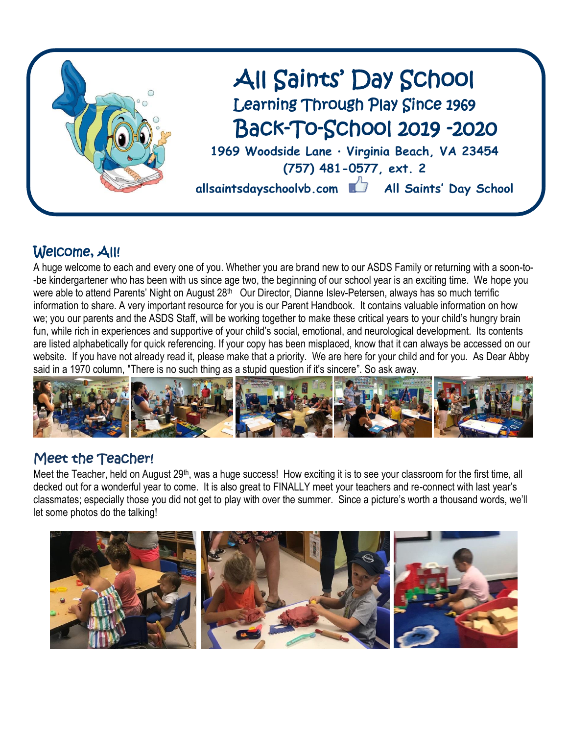

## Welcome, All!

A huge welcome to each and every one of you. Whether you are brand new to our ASDS Family or returning with a soon-to- -be kindergartener who has been with us since age two, the beginning of our school year is an exciting time. We hope you were able to attend Parents' Night on August 28<sup>th</sup> Our Director, Dianne Islev-Petersen, always has so much terrific information to share. A very important resource for you is our Parent Handbook. It contains valuable information on how we; you our parents and the ASDS Staff, will be working together to make these critical years to your child's hungry brain fun, while rich in experiences and supportive of your child's social, emotional, and neurological development. Its contents are listed alphabetically for quick referencing. If your copy has been misplaced, know that it can always be accessed on our website. If you have not already read it, please make that a priority. We are here for your child and for you. As Dear Abby said in a 1970 column, "There is no such thing as a stupid question if it's sincere". So ask away.



### Meet the Teacher!

Meet the Teacher, held on August 29<sup>th</sup>, was a huge success! How exciting it is to see your classroom for the first time, all decked out for a wonderful year to come. It is also great to FINALLY meet your teachers and re-connect with last year's classmates; especially those you did not get to play with over the summer. Since a picture's worth a thousand words, we'll let some photos do the talking!

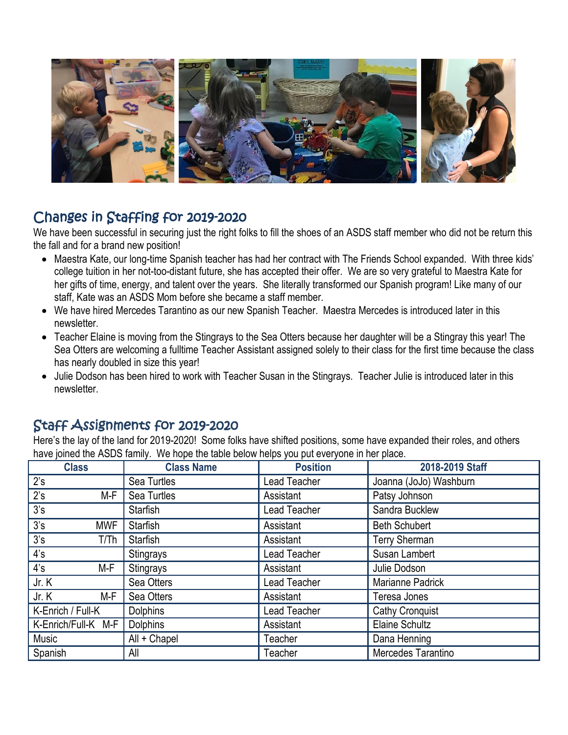

### Changes in Staffing for 2019-2020

We have been successful in securing just the right folks to fill the shoes of an ASDS staff member who did not be return this the fall and for a brand new position!

- Maestra Kate, our long-time Spanish teacher has had her contract with The Friends School expanded. With three kids' college tuition in her not-too-distant future, she has accepted their offer. We are so very grateful to Maestra Kate for her gifts of time, energy, and talent over the years. She literally transformed our Spanish program! Like many of our staff, Kate was an ASDS Mom before she became a staff member.
- We have hired Mercedes Tarantino as our new Spanish Teacher. Maestra Mercedes is introduced later in this newsletter.
- Teacher Elaine is moving from the Stingrays to the Sea Otters because her daughter will be a Stingray this year! The Sea Otters are welcoming a fulltime Teacher Assistant assigned solely to their class for the first time because the class has nearly doubled in size this year!
- Julie Dodson has been hired to work with Teacher Susan in the Stingrays. Teacher Julie is introduced later in this newsletter.

### Staff Assignments for 2019-2020

Here's the lay of the land for 2019-2020! Some folks have shifted positions, some have expanded their roles, and others have joined the ASDS family. We hope the table below helps you put everyone in her place.

| <b>Class</b>          | <b>Class Name</b> | <b>Position</b>     | 2018-2019 Staff        |
|-----------------------|-------------------|---------------------|------------------------|
| 2's                   | Sea Turtles       | Lead Teacher        | Joanna (JoJo) Washburn |
| 2's<br>M-F            | Sea Turtles       | Assistant           | Patsy Johnson          |
| 3's                   | <b>Starfish</b>   | Lead Teacher        | Sandra Bucklew         |
| 3's<br><b>MWF</b>     | <b>Starfish</b>   | Assistant           | <b>Beth Schubert</b>   |
| 3's<br>T/Th           | <b>Starfish</b>   | Assistant           | <b>Terry Sherman</b>   |
| 4's                   | Stingrays         | Lead Teacher        | Susan Lambert          |
| $4^{\prime}$ s<br>M-F | Stingrays         | Assistant           | Julie Dodson           |
| Jr. K                 | Sea Otters        | Lead Teacher        | Marianne Padrick       |
| M-F<br>Jr. K          | Sea Otters        | Assistant           | Teresa Jones           |
| K-Enrich / Full-K     | <b>Dolphins</b>   | <b>Lead Teacher</b> | Cathy Cronquist        |
| K-Enrich/Full-K M-F   | <b>Dolphins</b>   | Assistant           | <b>Elaine Schultz</b>  |
| Music                 | All + Chapel      | Teacher             | Dana Henning           |
| Spanish               | All               | Teacher             | Mercedes Tarantino     |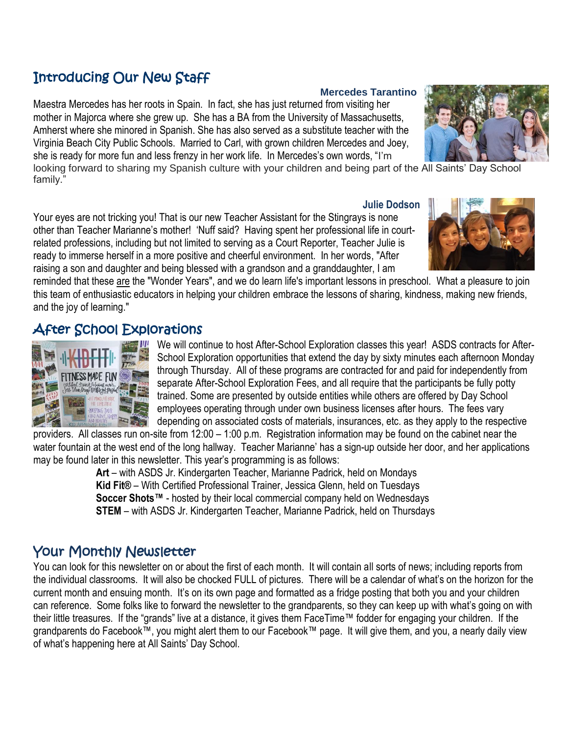## Introducing Our New Staff

Maestra Mercedes has her roots in Spain. In fact, she has just returned from visiting her mother in Majorca where she grew up. She has a BA from the University of Massachusetts, Amherst where she minored in Spanish. She has also served as a substitute teacher with the Virginia Beach City Public Schools. Married to Carl, with grown children Mercedes and Joey, she is ready for more fun and less frenzy in her work life. In Mercedes's own words, "I'm

looking forward to sharing my Spanish culture with your children and being part of the All Saints' Day School family."

Your eyes are not tricking you! That is our new Teacher Assistant for the Stingrays is none other than Teacher Marianne's mother! 'Nuff said? Having spent her professional life in courtrelated professions, including but not limited to serving as a Court Reporter, Teacher Julie is ready to immerse herself in a more positive and cheerful environment. In her words, "After raising a son and daughter and being blessed with a grandson and a granddaughter, I am

reminded that these are the "Wonder Years", and we do learn life's important lessons in preschool. What a pleasure to join this team of enthusiastic educators in helping your children embrace the lessons of sharing, kindness, making new friends, and the joy of learning."

### After School Explorations

**ITNESS MADE FUN** 

We will continue to host After-School Exploration classes this year! ASDS contracts for After-School Exploration opportunities that extend the day by sixty minutes each afternoon Monday through Thursday. All of these programs are contracted for and paid for independently from separate After-School Exploration Fees, and all require that the participants be fully potty trained. Some are presented by outside entities while others are offered by Day School employees operating through under own business licenses after hours. The fees vary depending on associated costs of materials, insurances, etc. as they apply to the respective

providers. All classes run on-site from 12:00 – 1:00 p.m. Registration information may be found on the cabinet near the water fountain at the west end of the long hallway. Teacher Marianne' has a sign-up outside her door, and her applications may be found later in this newsletter. This year's programming is as follows:

**Art** – with ASDS Jr. Kindergarten Teacher, Marianne Padrick, held on Mondays **Kid Fit®** – With Certified Professional Trainer, Jessica Glenn, held on Tuesdays **Soccer Shots™** - hosted by their local commercial company held on Wednesdays **STEM** – with ASDS Jr. Kindergarten Teacher, Marianne Padrick, held on Thursdays

### Your Monthly Newsletter

You can look for this newsletter on or about the first of each month. It will contain all sorts of news; including reports from the individual classrooms. It will also be chocked FULL of pictures. There will be a calendar of what's on the horizon for the current month and ensuing month. It's on its own page and formatted as a fridge posting that both you and your children can reference. Some folks like to forward the newsletter to the grandparents, so they can keep up with what's going on with their little treasures. If the "grands" live at a distance, it gives them FaceTime™ fodder for engaging your children. If the grandparents do Facebook™, you might alert them to our Facebook™ page. It will give them, and you, a nearly daily view of what's happening here at All Saints' Day School.

### **Mercedes Tarantino**



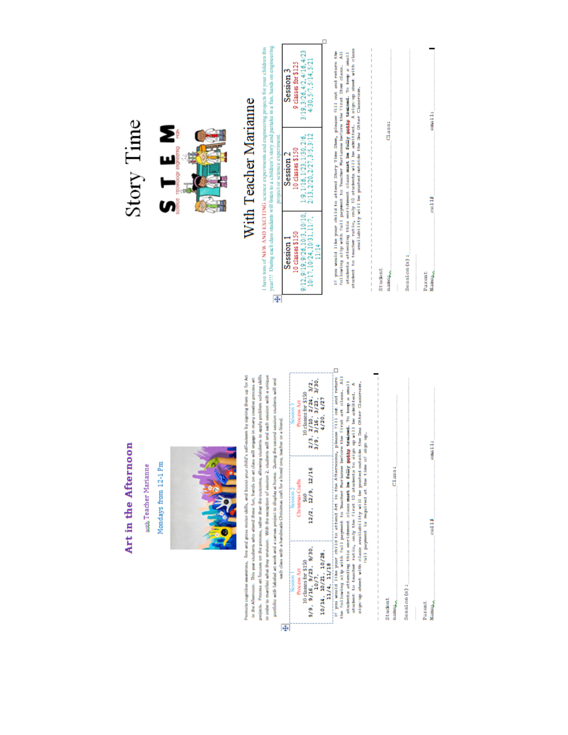

auth Teacher Marianne

Mondays from 12-1 Pm



Promote cognitive awareness, fine and gross moter skills, and boost your child's self-esteem by signing them up for Art projects. Process art focuses on the process, rather than the outcome, allowing students to apply problem solving sbills in order to manifest what they envision. With the exception of session 2, students will end each session with a unique in the Afternoon. This year students who attend these fun, hands on an class will engage in many creative process an portfolio with labeled art work and a canvas project to display at home. During the second session students will end each class with a handmade Christmas craft for a loved one, teacher or a friend.

|                                                                                           | $\begin{array}{c} 2/3 \,, \ 2/10 \,, \ 2/24 \,, \ 3/2 \,, \\ 3/9 \,, \ 3/16 \,, \ 3/23 \,, \ 3/30 \,, \\ 4/20 \,, \ 4/2 \,7 \end{array}$<br>0 classes for \$150<br>Process Art<br>Session <sub>3</sub> |
|-------------------------------------------------------------------------------------------|--------------------------------------------------------------------------------------------------------------------------------------------------------------------------------------------------------|
| GALD CIASS WITH A THRICINARY CONSUMING CIVIL IN A INVASIONAL CION, DOACDINE OF A INVESTOR | 12/2, 12/9, 12/16<br><b>Jurisdinus Crafts</b><br>CSSROOM-<br>Š                                                                                                                                         |
|                                                                                           | 10 classes for \$150<br>/9, 9/16, 9/23, 9/30,<br>10/7,<br>10/14, 10/21, 10/28,<br>11/4, 11/18<br>Process Art                                                                                           |
|                                                                                           |                                                                                                                                                                                                        |

If you would like your child to attend Art in the Afternoods, please fill out and return  $\square$  the following alby will payment to hemometric half while the first in the fill of the state of the state of the state of the st

| ۱ |   |
|---|---|
|   |   |
|   |   |
|   | ₿ |
|   |   |

email:  $C1a3334$ col<sub>11</sub> Session (s): **Name**<sub>ro</sub> Parent

## Story Time



# With Teacher Marianne

point 11. During each class students will listen to a children's story and particle in a final hands on engineering<br> $\frac{1}{\sqrt{1+\alpha}}$  year 11. During each class students will listen to a children's story and particle in a fi 1 have tons of NEW AND EXCITING science experiments and engineering projects for your children this

|    | 9.3/26.4/2.4/16.4/2<br>3125<br>bession<br><b>Cuasses</b> the<br>30.5/7.5 |  |
|----|--------------------------------------------------------------------------|--|
|    | .1/23.1/3<br>10 classes \$15<br>Session.<br>0.2/27.<br>(13, 2/2)         |  |
|    | Session<br>9.9/26.1<br>10 classes!<br>Ē<br>$\frac{3}{12}$                |  |
| t. |                                                                          |  |

If you would like your child to attend Shrry Time Shee, please fill out and refurr the following wilp with full poyment to "exactler Mariamon before the first Shee class. All students attending this enrichment class want

| I<br>I<br>I<br>I<br>I<br>l<br>l<br>l<br>l<br>$\frac{1}{1}$<br>I<br>I | I<br>I<br>j<br>I<br>l<br>İ<br>I<br>I<br>I<br>I<br>l<br>I<br>I | I<br>$\frac{1}{1}$<br>l<br>I<br>I<br>l<br>I<br>l<br>I<br>I<br>I<br>I<br>I<br>I<br>I<br>I<br>I<br>I |
|----------------------------------------------------------------------|---------------------------------------------------------------|----------------------------------------------------------------------------------------------------|
| Student<br>namerico                                                  |                                                               | I<br>Class:                                                                                        |
| I                                                                    |                                                               |                                                                                                    |
| Session (s):                                                         |                                                               |                                                                                                    |
|                                                                      |                                                               |                                                                                                    |
| Parent<br>Namero                                                     | coal 14                                                       | email:                                                                                             |